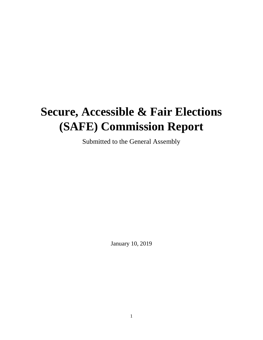# **Secure, Accessible & Fair Elections (SAFE) Commission Report**

Submitted to the General Assembly

January 10, 2019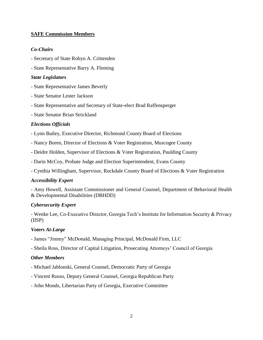## **SAFE Commission Members**

## *Co-Chairs*

- Secretary of State Robyn A. Crittenden
- State Representative Barry A. Fleming

## *State Legislators*

- State Representative James Beverly
- State Senator Lester Jackson
- State Representative and Secretary of State-elect Brad Raffensperger
- State Senator Brian Strickland

## *Elections Officials*

- Lynn Bailey, Executive Director, Richmond County Board of Elections
- Nancy Boren, Director of Elections & Voter Registration, Muscogee County
- Deidre Holden, Supervisor of Elections & Voter Registration, Paulding County
- Darin McCoy, Probate Judge and Election Superintendent, Evans County
- Cynthia Willingham, Supervisor, Rockdale County Board of Elections & Voter Registration

#### *Accessibility Expert*

- Amy Howell, Assistant Commissioner and General Counsel, Department of Behavioral Health & Developmental Disabilities (DBHDD)

#### *Cybersecurity Expert*

- Wenke Lee, Co-Executive Director, Georgia Tech's Institute for Information Security & Privacy (IISP)

#### *Voters At-Large*

- James "Jimmy" McDonald, Managing Principal, McDonald Firm, LLC
- Sheila Ross, Director of Capital Litigation, Prosecuting Attorneys' Council of Georgia

#### *Other Members*

- Michael Jablonski, General Counsel, Democratic Party of Georgia
- Vincent Russo, Deputy General Counsel, Georgia Republican Party
- John Monds, Libertarian Party of Georgia, Executive Committee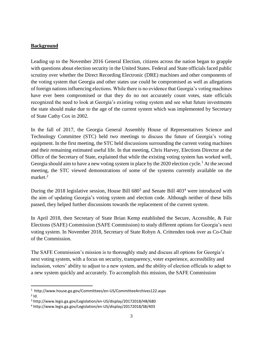### **Background**

Leading up to the November 2016 General Election, citizens across the nation began to grapple with questions about election security in the United States. Federal and State officials faced public scrutiny over whether the Direct Recording Electronic (DRE) machines and other components of the voting system that Georgia and other states use could be compromised as well as allegations of foreign nations influencing elections. While there is no evidence that Georgia's voting machines have ever been compromised or that they do no not accurately count votes, state officials recognized the need to look at Georgia's existing voting system and see what future investments the state should make due to the age of the current system which was implemented by Secretary of State Cathy Cox in 2002.

In the fall of 2017, the Georgia General Assembly House of Representatives Science and Technology Committee (STC) held two meetings to discuss the future of Georgia's voting equipment. In the first meeting, the STC held discussions surrounding the current voting machines and their remaining estimated useful life. In that meeting, Chris Harvey, Elections Director at the Office of the Secretary of State, explained that while the existing voting system has worked well, Georgia should aim to have a new voting system in place by the 2020 election cycle.<sup>1</sup> At the second meeting, the STC viewed demonstrations of some of the systems currently available on the market.<sup>2</sup>

During the 2018 legislative session, House Bill  $680^3$  and Senate Bill  $403^4$  were introduced with the aim of updating Georgia's voting system and election code. Although neither of these bills passed, they helped further discussions towards the replacement of the current system.

In April 2018, then Secretary of State Brian Kemp established the Secure, Accessible, & Fair Elections (SAFE) Commission (SAFE Commission) to study different options for Georgia's next voting system. In November 2018, Secretary of State Robyn A. Crittenden took over as Co-Chair of the Commission.

The SAFE Commission's mission is to thoroughly study and discuss all options for Georgia's next voting system, with a focus on security, transparency, voter experience, accessibility and inclusion, voters' ability to adjust to a new system, and the ability of election officials to adapt to a new system quickly and accurately. To accomplish this mission, the SAFE Commission

l

<sup>1</sup> http://www.house.ga.gov/Committees/en-US/CommitteeArchives122.aspx

 $2$  Id.

<sup>3</sup> http://www.legis.ga.gov/Legislation/en-US/display/20172018/HB/680

<sup>4</sup> http://www.legis.ga.gov/Legislation/en-US/display/20172018/SB/403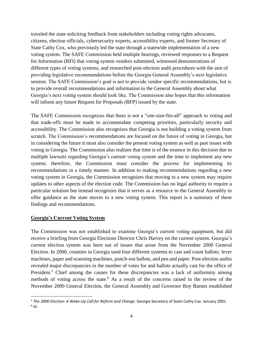traveled the state soliciting feedback from stakeholders including voting rights advocates, citizens, election officials, cybersecurity experts, accessibility experts, and former Secretary of State Cathy Cox, who previously led the state through a statewide implementation of a new voting system. The SAFE Commission held multiple hearings, reviewed responses to a Request for Information (RFI) that voting system vendors submitted, witnessed demonstrations of different types of voting systems, and researched post-election audit procedures with the aim of providing legislative recommendations before the Georgia General Assembly's next legislative session. The SAFE Commission's goal is not to provide vendor specific recommendations, but is to provide overall recommendations and information to the General Assembly about what Georgia's next voting system should look like. The Commission also hopes that this information will inform any future Request for Proposals (RFP) issued by the state.

The SAFE Commission recognizes that there is not a "one-size-fits-all" approach to voting and that trade-offs must be made to accommodate competing priorities, particularly security and accessibility. The Commission also recognizes that Georgia is not building a voting system from scratch. The Commission's recommendations are focused on the future of voting in Georgia, but in considering the future it must also consider the present voting system as well as past issues with voting in Georgia. The Commission also realizes that time is of the essence in this decision due to multiple lawsuits regarding Georgia's current voting system and the time to implement any new system; therefore, the Commission must consider the process for implementing its recommendations in a timely manner. In addition to making recommendations regarding a new voting system in Georgia, the Commission recognizes that moving to a new system may require updates to other aspects of the election code. The Commission has no legal authority to require a particular solution but instead recognizes that it serves as a resource to the General Assembly to offer guidance as the state moves to a new voting system. This report is a summary of these findings and recommendations.

#### **Georgia's Current Voting System**

 $\overline{\phantom{a}}$ 

The Commission was not established to examine Georgia's current voting equipment, but did receive a briefing from Georgia Elections Director Chris Harvey on the current system. Georgia's current election system was born out of issues that arose from the November 2000 General Election. In 2000, counties in Georgia used four different systems to cast and count ballots: lever machines, paper and scanning machines, punch-out ballots, and pen and paper. Post-election audits revealed major discrepancies in the number of votes for and ballots actually cast for the office of President.<sup>5</sup> Chief among the causes for these discrepancies was a lack of uniformity among methods of voting across the state.<sup>6</sup> As a result of the concerns raised in the review of the November 2000 General Election, the General Assembly and Governor Roy Barnes established

<sup>5</sup> *The 2000 Election: A Wake-Up Call for Reform and Change*. Georgia Secretary of State Cathy Cox. January 2001.  $<sup>6</sup>$  Id.</sup>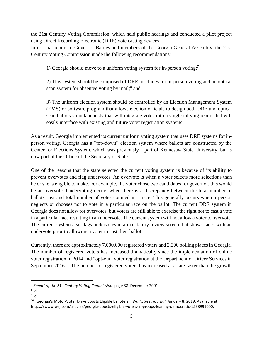the 21st Century Voting Commission, which held public hearings and conducted a pilot project using Direct Recording Electronic (DRE) vote casting devices.

In its final report to Governor Barnes and members of the Georgia General Assembly, the 21st Century Voting Commission made the following recommendations:

1) Georgia should move to a uniform voting system for in-person voting; 7

2) This system should be comprised of DRE machines for in-person voting and an optical scan system for absentee voting by mail;<sup>8</sup> and

3) The uniform election system should be controlled by an Election Management System (EMS) or software program that allows election officials to design both DRE and optical scan ballots simultaneously that will integrate votes into a single tallying report that will easily interface with existing and future voter registration systems.<sup>9</sup>

As a result, Georgia implemented its current uniform voting system that uses DRE systems for inperson voting. Georgia has a "top-down" election system where ballots are constructed by the Center for Elections System, which was previously a part of Kennesaw State University, but is now part of the Office of the Secretary of State.

One of the reasons that the state selected the current voting system is because of its ability to prevent overvotes and flag undervotes. An overvote is when a voter selects more selections than he or she is eligible to make. For example, if a voter chose two candidates for governor, this would be an overvote. Undervoting occurs when there is a discrepancy between the total number of ballots cast and total number of votes counted in a race. This generally occurs when a person neglects or chooses not to vote in a particular race on the ballot. The current DRE system in Georgia does not allow for overvotes, but voters are still able to exercise the right not to cast a vote in a particular race resulting in an undervote. The current system will not allow a voter to overvote. The current system also flags undervotes in a mandatory review screen that shows races with an undervote prior to allowing a voter to cast their ballot.

Currently, there are approximately 7,000,000 registered voters and 2,300 polling places in Georgia. The number of registered voters has increased dramatically since the implementation of online voter registration in 2014 and "opt-out" voter registration at the Department of Driver Services in September 2016.<sup>10</sup> The number of registered voters has increased at a rate faster than the growth

 $\overline{\phantom{a}}$ 

<sup>7</sup> *Report of the 21st Century Voting Commission,* page 38. December 2001.

 $^8$  Id.

 $^9$  Id.

<sup>&</sup>lt;sup>10</sup> "Georgia's Motor-Voter Drive Boosts Eligible Balloters." *Wall Street Journal*, January 8, 2019. Available at https://www.wsj.com/articles/georgia-boosts-eligible-voters-in-groups-leaning-democratic-1538991000.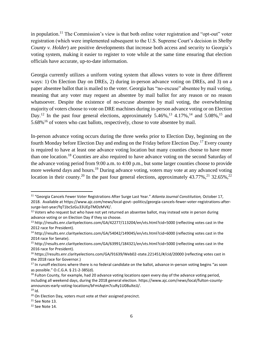in population.<sup>11</sup> The Commission's view is that both online voter registration and "opt-out" voter registration (which were implemented subsequent to the U.S. Supreme Court's decision in *Shelby County v. Holder*) are positive developments that increase both access and security to Georgia's voting system, making it easier to register to vote while at the same time ensuring that election officials have accurate, up-to-date information.

Georgia currently utilizes a uniform voting system that allows voters to vote in three different ways: 1) On Election Day on DREs, 2) during in-person advance voting on DREs, and 3) on a paper absentee ballot that is mailed to the voter. Georgia has "no-excuse" absentee by mail voting, meaning that any voter may request an absentee by mail ballot for any reason or no reason whatsoever. Despite the existence of no-excuse absentee by mail voting, the overwhelming majority of voters choose to vote on DRE machines during in-person advance voting or on Election Day.<sup>12</sup> In the past four general elections, approximately 5.46%,<sup>13</sup> 4.17%,<sup>14</sup> and 5.08%,<sup>15</sup> and 5.68%<sup>16</sup> of voters who cast ballots, respectively, chose to vote absentee by mail.

In-person advance voting occurs during the three weeks prior to Election Day, beginning on the fourth Monday before Election Day and ending on the Friday before Election Day.<sup>17</sup> Every county is required to have at least one advance voting location but many counties choose to have more than one location.<sup>18</sup> Counties are also required to have advance voting on the second Saturday of the advance voting period from 9:00 a.m. to 4:00 p.m., but some larger counties choose to provide more weekend days and hours.<sup>19</sup> During advance voting, voters may vote at any advanced voting location in their county.<sup>20</sup> In the past four general elections, approximately  $43.77\%$ ,<sup>21</sup> 32.65%,<sup>22</sup>

l

<sup>11</sup> "Georgia Cancels Fewer Voter Registrations After Surge Last Year." *Atlanta Journal Constitution,* October 17, 2018. Available at https://www.ajc.com/news/local-govt--politics/georgia-cancels-fewer-voter-registrations-aftersurge-last-year/fqT1bcSzGu33UEpTMDzMVK/.

<sup>&</sup>lt;sup>12</sup> Voters who request but who have not yet returned an absentee ballot, may instead vote in person during advance voting or on Election Day if they so choose.

<sup>13</sup> http://results.enr.clarityelections.com/GA/42277/113204/en/vts.html?cid=5000 (reflecting votes cast in the 2012 race for President).

<sup>14</sup> http://results.enr.clarityelections.com/GA/54042/149045/en/vts.html?cid=6000 (reflecting votes cast in the 2014 race for Senate).

<sup>15</sup> http://results.enr.clarityelections.com/GA/63991/184321/en/vts.html?cid=5000 (reflecting votes cast in the 2016 race for President).

<sup>&</sup>lt;sup>16</sup> https://results.enr.clarityelections.com/GA/91639/Web02-state.221451/#/cid/20000 (reflecting votes cast in the 2018 race for Governor.)

<sup>&</sup>lt;sup>17</sup> In runoff elections where there is no federal candidate on the ballot, advance in-person voting begins "as soon as possible." O.C.G.A. § 21-2-385(d).

<sup>&</sup>lt;sup>18</sup> Fulton County, for example, had 20 advance voting locations open every day of the advance voting period, including all weekend days, during the 2018 general election. https://www.ajc.com/news/local/fulton-countyannounces-early-voting-locations/bFmiAqtm7cuRy1U08uXeJJ/.

 $19$  Id.

<sup>&</sup>lt;sup>20</sup> On Election Day, voters must vote at their assigned precinct.

 $21$  See Note 13.

<sup>22</sup> See Note 14.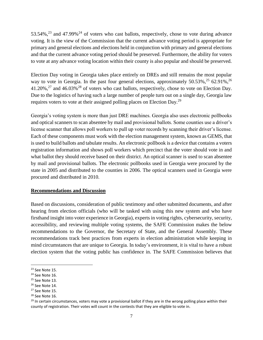53.54%,<sup>23</sup> and 47.99%<sup>24</sup> of voters who cast ballots, respectively, chose to vote during advance voting. It is the view of the Commission that the current advance voting period is appropriate for primary and general elections and elections held in conjunction with primary and general elections and that the current advance voting period should be preserved. Furthermore, the ability for voters to vote at any advance voting location within their county is also popular and should be preserved.

Election Day voting in Georgia takes place entirely on DREs and still remains the most popular way to vote in Georgia. In the past four general elections, approximately  $50.53\%$ ,  $25.62.91\%$ ,  $26.53\%$ 41.20%,<sup>27</sup> and 46.03%<sup>28</sup> of voters who cast ballots, respectively, chose to vote on Election Day. Due to the logistics of having such a large number of people turn out on a single day, Georgia law requires voters to vote at their assigned polling places on Election Day.<sup>29</sup>

Georgia's voting system is more than just DRE machines. Georgia also uses electronic pollbooks and optical scanners to scan absentee by mail and provisional ballots. Some counties use a driver's license scanner that allows poll workers to pull up voter records by scanning their driver's license. Each of these components must work with the election management system, known as GEMS, that is used to build ballots and tabulate results. An electronic pollbook is a device that contains a voters registration information and shows poll workers which precinct that the voter should vote in and what ballot they should receive based on their district. An optical scanner is used to scan absentee by mail and provisional ballots. The electronic pollbooks used in Georgia were procured by the state in 2005 and distributed to the counties in 2006. The optical scanners used in Georgia were procured and distributed in 2010.

#### **Recommendations and Discussion**

Based on discussions, consideration of public testimony and other submitted documents, and after hearing from election officials (who will be tasked with using this new system and who have firsthand insight into voter experience in Georgia), experts in voting rights, cybersecurity, security, accessibility, and reviewing multiple voting systems, the SAFE Commission makes the below recommendations to the Governor, the Secretary of State, and the General Assembly. These recommendations track best practices from experts in election administration while keeping in mind circumstances that are unique to Georgia. In today's environment, it is vital to have a robust election system that the voting public has confidence in. The SAFE Commission believes that

 $\overline{a}$ 

<sup>23</sup> See Note 15.

<sup>24</sup> See Note 16.

 $25$  See Note 13.

<sup>26</sup> See Note 14.

<sup>&</sup>lt;sup>27</sup> See Note 15.

<sup>28</sup> See Note 16.

 $29$  In certain circumstances, voters may vote a provisional ballot if they are in the wrong polling place within their county of registration. Their votes will count in the contests that they are eligible to vote in.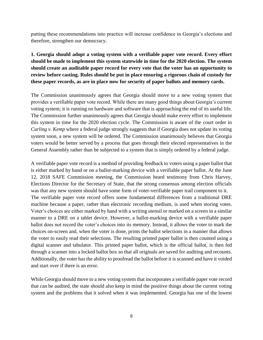putting these recommendations into practice will increase confidence in Georgia's elections and therefore, strengthen our democracy.

# **1. Georgia should adopt a voting system with a verifiable paper vote record. Every effort should be made to implement this system statewide in time for the 2020 election. The system should create an auditable paper record for every vote that the voter has an opportunity to review before casting. Rules should be put in place ensuring a rigorous chain of custody for these paper records, as are in place now for security of paper ballots and memory cards.**

The Commission unanimously agrees that Georgia should move to a new voting system that provides a verifiable paper vote record. While there are many good things about Georgia's current voting system; it is running on hardware and software that is approaching the end of its useful life. The Commission further unanimously agrees that Georgia should make every effort to implement this system in time for the 2020 election cycle. The Commission is aware of the court order in *Curling v. Kemp* where a federal judge strongly suggests that if Georgia does not update its voting system soon, a new system will be ordered. The Commission unanimously believes that Georgia voters would be better served by a process that goes through their elected representatives in the General Assembly rather than be subjected to a system that is simply ordered by a federal judge.

A verifiable paper vote record is a method of providing feedback to voters using a paper ballot that is either marked by hand or on a ballot-marking device with a verifiable paper ballot. At the June 12, 2018 SAFE Commission meeting, the Commission heard testimony from Chris Harvey, Elections Director for the Secretary of State, that the strong consensus among election officials was that any new system should have some form of voter-verifiable paper trail component to it. The verifiable paper vote record offers some fundamental differences from a traditional DRE machine because a paper, rather than electronic recording medium, is used when storing votes. Voter's choices are either marked by hand with a writing utensil or marked on a screen in a similar manner to a DRE on a tablet device. However, a ballot-marking device with a verifiable paper ballot does not record the voter's choices into its memory. Instead, it allows the voter to mark the choices on-screen and, when the voter is done, prints the ballot selections in a manner that allows the voter to easily read their selections. The resulting printed paper ballot is then counted using a digital scanner and tabulator. This printed paper ballot, which is the official ballot, is then fed through a scanner into a locked ballot box so that all originals are saved for auditing and recounts. Additionally, the voter has the ability to proofread the ballot before it is scanned and have it voided and start over if there is an error.

While Georgia should move to a new voting system that incorporates a verifiable paper vote record that can be audited, the state should also keep in mind the positive things about the current voting system and the problems that it solved when it was implemented. Georgia has one of the lowest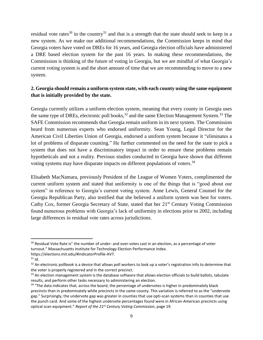residual vote rates<sup>30</sup> in the country<sup>31</sup> and that is a strength that the state should seek to keep in a new system. As we make our additional recommendations, the Commission keeps in mind that Georgia voters have voted on DREs for 16 years, and Georgia election officials have administered a DRE based election system for the past 16 years. In making these recommendations, the Commission is thinking of the future of voting in Georgia, but we are mindful of what Georgia's current voting system is and the short amount of time that we are recommending to move to a new system.

## **2. Georgia should remain a uniform system state, with each county using the same equipment that is initially provided by the state.**

Georgia currently utilizes a uniform election system, meaning that every county in Georgia uses the same type of DREs, electronic poll books,  $32$  and the same Election Management System.  $33$  The SAFE Commission recommends that Georgia remain uniform in its next system. The Commission heard from numerous experts who endorsed uniformity. Sean Young, Legal Director for the American Civil Liberties Union of Georgia, endorsed a uniform system because it "eliminates a lot of problems of disparate counting." He further commented on the need for the state to pick a system that does not have a discriminatory impact in order to ensure these problems remain hypotheticals and not a reality. Previous studies conducted in Georgia have shown that different voting systems may have disparate impacts on different populations of voters.<sup>34</sup>

Elisabeth MacNamara, previously President of the League of Women Voters, complimented the current uniform system and stated that uniformity is one of the things that is "good about our system" in reference to Georgia's current voting system. Anne Lewis, General Counsel for the Georgia Republican Party, also testified that she believed a uniform system was best for voters. Cathy Cox, former Georgia Secretary of State, stated that her 21<sup>st</sup> Century Voting Commission found numerous problems with Georgia's lack of uniformity in elections prior to 2002, including large differences in residual vote rates across jurisdictions.

 $\overline{\phantom{a}}$ 

<sup>&</sup>lt;sup>30</sup> Residual Vote Rate is" the number of under- and over-votes cast in an election, as a percentage of voter turnout." Massachusetts Institute for Technology Election Performance Index.

https://elections.mit.edu/#indicatorProfile-AVT.

 $31$  Id.

 $32$  An electronic pollbook is a device that allows poll workers to look up a voter's registration info to determine that the voter is properly registered and in the correct precinct.

 $33$  An election management system is the database software that allows election officials to build ballots, tabulate results, and perform other tasks necessary to administering an election.

<sup>&</sup>lt;sup>34</sup> "The data indicates that, across the board, the percentage of undervotes is higher in predominately black precincts than in predominately white precincts in the same county. This variation is referred to as the "undervote gap." Surprisingly, the undervote gap was greater in counties that use opti-scan systems than in counties that use the punch card. And some of the highest undervote percentages found were in African-American precincts using optical scan equipment." *Report of the 21st Century Voting Commission*, page 19.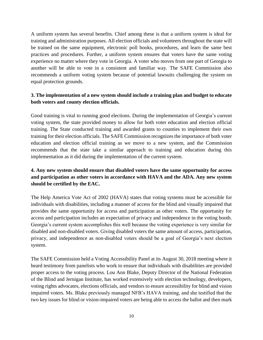A uniform system has several benefits. Chief among these is that a uniform system is ideal for training and administration purposes. All election officials and volunteers throughout the state will be trained on the same equipment, electronic poll books, procedures, and learn the same best practices and procedures. Further, a uniform system ensures that voters have the same voting experience no matter where they vote in Georgia. A voter who moves from one part of Georgia to another will be able to vote in a consistent and familiar way. The SAFE Commission also recommends a uniform voting system because of potential lawsuits challenging the system on equal protection grounds.

## **3. The implementation of a new system should include a training plan and budget to educate both voters and county election officials.**

Good training is vital to running good elections. During the implementation of Georgia's current voting system, the state provided money to allow for both voter education and election official training. The State conducted training and awarded grants to counties to implement their own training for their election officials. The SAFE Commission recognizes the importance of both voter education and election official training as we move to a new system, and the Commission recommends that the state take a similar approach to training and education during this implementation as it did during the implementation of the current system.

# **4. Any new system should ensure that disabled voters have the same opportunity for access and participation as other voters in accordance with HAVA and the ADA. Any new system should be certified by the EAC.**

The Help America Vote Act of 2002 (HAVA) states that voting systems must be accessible for individuals with disabilities, including a manner of access for the blind and visually impaired that provides the same opportunity for access and participation as other voters. The opportunity for access and participation includes an expectation of privacy and independence in the voting booth. Georgia's current system accomplishes this well because the voting experience is very similar for disabled and non-disabled voters. Giving disabled voters the same amount of access, participation, privacy, and independence as non-disabled voters should be a goal of Georgia's next election system.

The SAFE Commission held a Voting Accessibility Panel at its August 30, 2018 meeting where it heard testimony from panelists who work to ensure that individuals with disabilities are provided proper access to the voting process. Lou Ann Blake, Deputy Director of the National Federation of the Blind and Jernigan Institute, has worked extensively with election technology, developers, voting rights advocates, elections officials, and vendors to ensure accessibility for blind and vision impaired voters. Ms. Blake previously managed NFB's HAVA training, and she testified that the two key issues for blind or vision-impaired voters are being able to access the ballot and then mark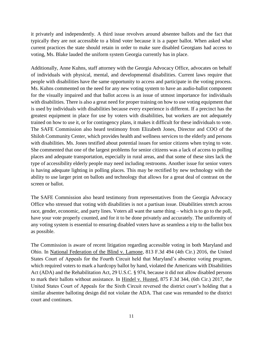it privately and independently. A third issue revolves around absentee ballots and the fact that typically they are not accessible to a blind voter because it is a paper ballot. When asked what current practices the state should retain in order to make sure disabled Georgians had access to voting, Ms. Blake lauded the uniform system Georgia currently has in place.

Additionally, Anne Kuhns, staff attorney with the Georgia Advocacy Office, advocates on behalf of individuals with physical, mental, and developmental disabilities. Current laws require that people with disabilities have the same opportunity to access and participate in the voting process. Ms. Kuhns commented on the need for any new voting system to have an audio-ballot component for the visually impaired and that ballot access is an issue of utmost importance for individuals with disabilities. There is also a great need for proper training on how to use voting equipment that is used by individuals with disabilities because every experience is different. If a precinct has the greatest equipment in place for use by voters with disabilities, but workers are not adequately trained on how to use it, or for contingency plans, it makes it difficult for these individuals to vote. The SAFE Commission also heard testimony from Elizabeth Jones, Director and COO of the Shiloh Community Center, which provides health and wellness services to the elderly and persons with disabilities. Ms. Jones testified about potential issues for senior citizens when trying to vote. She commented that one of the largest problems for senior citizens was a lack of access to polling places and adequate transportation, especially in rural areas, and that some of these sites lack the type of accessibility elderly people may need including restrooms. Another issue for senior voters is having adequate lighting in polling places. This may be rectified by new technology with the ability to use larger print on ballots and technology that allows for a great deal of contrast on the screen or ballot.

The SAFE Commission also heard testimony from representatives from the Georgia Advocacy Office who stressed that voting with disabilities is not a partisan issue. Disabilities stretch across race, gender, economic, and party lines. Voters all want the same thing – which is to go to the poll, have your vote properly counted, and for it to be done privately and accurately. The uniformity of any voting system is essential to ensuring disabled voters have as seamless a trip to the ballot box as possible.

The Commission is aware of recent litigation regarding accessible voting in both Maryland and Ohio. In National Federation of the Blind v. Lamone, 813 F.3d 494 (4th Cir.) 2016, the United States Court of Appeals for the Fourth Circuit held that Maryland's absentee voting program, which required voters to mark a hardcopy ballot by hand, violated the Americans with Disabilities Act (ADA) and the Rehabilitation Act, 29 U.S.C. § 974, because it did not allow disabled persons to mark their ballots without assistance. In Hindel v. Husted, 875 F.3d 344, (6th Cir.) 2017, the United States Court of Appeals for the Sixth Circuit reversed the district court's holding that a similar absentee balloting design did not violate the ADA. That case was remanded to the district court and continues.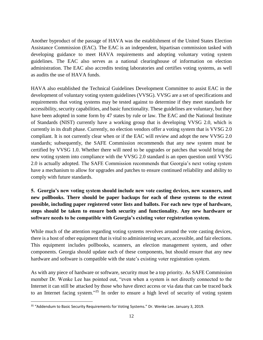Another byproduct of the passage of HAVA was the establishment of the United States Election Assistance Commission (EAC). The EAC is an independent, bipartisan commission tasked with developing guidance to meet HAVA requirements and adopting voluntary voting system guidelines. The EAC also serves as a national clearinghouse of information on election administration. The EAC also accredits testing laboratories and certifies voting systems, as well as audits the use of HAVA funds.

HAVA also established the Technical Guidelines Development Committee to assist EAC in the development of voluntary voting system guidelines (VVSG). VVSG are a set of specifications and requirements that voting systems may be tested against to determine if they meet standards for accessibility, security capabilities, and basic functionality. These guidelines are voluntary, but they have been adopted in some form by 47 states by rule or law. The EAC and the National Institute of Standards (NIST) currently have a working group that is developing VVSG 2.0, which is currently in its draft phase. Currently, no election vendors offer a voting system that is VVSG 2.0 compliant. It is not currently clear when or if the EAC will review and adopt the new VVSG 2.0 standards; subsequently, the SAFE Commission recommends that any new system must be certified by VVSG 1.0. Whether there will need to be upgrades or patches that would bring the new voting system into compliance with the VVSG 2.0 standard is an open question until VVSG 2.0 is actually adopted. The SAFE Commission recommends that Georgia's next voting system have a mechanism to allow for upgrades and patches to ensure continued reliability and ability to comply with future standards.

# **5. Georgia's new voting system should include new vote casting devices, new scanners, and new pollbooks. There should be paper backups for each of these systems to the extent possible, including paper registered voter lists and ballots. For each new type of hardware, steps should be taken to ensure both security and functionality. Any new hardware or software needs to be compatible with Georgia's existing voter registration system.**

While much of the attention regarding voting systems revolves around the vote casting devices, there is a host of other equipment that is vital to administering secure, accessible, and fair elections. This equipment includes pollbooks, scanners, an election management system, and other components. Georgia should update each of these components, but should ensure that any new hardware and software is compatible with the state's existing voter registration system.

As with any piece of hardware or software, security must be a top priority. As SAFE Commission member Dr. Wenke Lee has pointed out, "even when a system is not directly connected to the Internet it can still be attacked by those who have direct access or via data that can be traced back to an Internet facing system."<sup>35</sup> In order to ensure a high level of security of voting system

 $\overline{\phantom{a}}$ 

<sup>&</sup>lt;sup>35</sup> "Addendum to Basic Security Requirements for Voting Systems." Dr. Wenke Lee. January 3, 2019.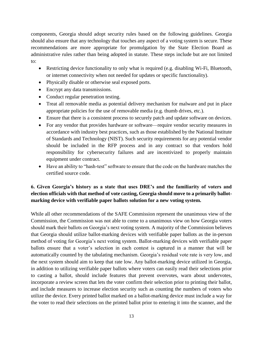components, Georgia should adopt security rules based on the following guidelines. Georgia should also ensure that any technology that touches any aspect of a voting system is secure. These recommendations are more appropriate for promulgation by the State Election Board as administrative rules rather than being adopted in statute. These steps include but are not limited to:

- Restricting device functionality to only what is required (e.g. disabling Wi-Fi, Bluetooth, or internet connectivity when not needed for updates or specific functionality).
- Physically disable or otherwise seal exposed ports.
- Encrypt any data transmissions.
- Conduct regular penetration testing.
- Treat all removable media as potential delivery mechanism for malware and put in place appropriate policies for the use of removable media (e.g. thumb drives, etc.).
- Ensure that there is a consistent process to securely patch and update software on devices.
- For any vendor that provides hardware or software—require vendor security measures in accordance with industry best practices, such as those established by the National Institute of Standards and Technology (NIST). Such security requirements for any potential vendor should be included in the RFP process and in any contract so that vendors hold responsibility for cybersecurity failures and are incentivized to properly maintain equipment under contract.
- Have an ability to "hash-test" software to ensure that the code on the hardware matches the certified source code.

## **6. Given Georgia's history as a state that uses DRE's and the familiarity of voters and election officials with that method of vote casting, Georgia should move to a primarily ballotmarking device with verifiable paper ballots solution for a new voting system.**

While all other recommendations of the SAFE Commission represent the unanimous view of the Commission, the Commission was not able to come to a unanimous view on how Georgia voters should mark their ballots on Georgia's next voting system. A majority of the Commission believes that Georgia should utilize ballot-marking devices with verifiable paper ballots as the in-person method of voting for Georgia's next voting system. Ballot-marking devices with verifiable paper ballots ensure that a voter's selection in each contest is captured in a manner that will be automatically counted by the tabulating mechanism. Georgia's residual vote rate is very low, and the next system should aim to keep that rate low. Any ballot-marking device utilized in Georgia, in addition to utilizing verifiable paper ballots where voters can easily read their selections prior to casting a ballot, should include features that prevent overvotes, warn about undervotes, incorporate a review screen that lets the voter confirm their selection prior to printing their ballot, and include measures to increase election security such as counting the numbers of voters who utilize the device. Every printed ballot marked on a ballot-marking device must include a way for the voter to read their selections on the printed ballot prior to entering it into the scanner, and the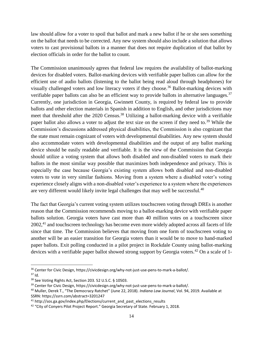law should allow for a voter to spoil that ballot and mark a new ballot if he or she sees something on the ballot that needs to be corrected. Any new system should also include a solution that allows voters to cast provisional ballots in a manner that does not require duplication of that ballot by election officials in order for the ballot to count.

The Commission unanimously agrees that federal law requires the availability of ballot-marking devices for disabled voters. Ballot-marking devices with verifiable paper ballots can allow for the efficient use of audio ballots (listening to the ballot being read aloud through headphones) for visually challenged voters and low literacy voters if they choose.<sup>36</sup> Ballot-marking devices with verifiable paper ballots can also be an efficient way to provide ballots in alternative languages.<sup>37</sup> Currently, one jurisdiction in Georgia, Gwinnett County, is required by federal law to provide ballots and other election materials in Spanish in addition to English, and other jurisdictions may meet that threshold after the 2020 Census.<sup>38</sup> Utilizing a ballot-marking device with a verifiable paper ballot also allows a voter to adjust the text size on the screen if they need to.<sup>39</sup> While the Commission's discussions addressed physical disabilities, the Commission is also cognizant that the state must remain cognizant of voters with developmental disabilities. Any new system should also accommodate voters with developmental disabilities and the output of any ballot marking device should be easily readable and verifiable. It is the view of the Commission that Georgia should utilize a voting system that allows both disabled and non-disabled voters to mark their ballots in the most similar way possible that maximizes both independence and privacy. This is especially the case because Georgia's existing system allows both disabled and non-disabled voters to vote in very similar fashions. Moving from a system where a disabled voter's voting experience closely aligns with a non-disabled voter's experience to a system where the experiences are very different would likely invite legal challenges that may well be successful.<sup>40</sup>

The fact that Georgia's current voting system utilizes touchscreen voting through DREs is another reason that the Commission recommends moving to a ballot-marking device with verifiable paper ballots solution. Georgia voters have cast more than 40 million votes on a touchscreen since 2002,<sup>41</sup> and touchscreen technology has become even more widely adopted across all facets of life since that time. The Commission believes that moving from one form of touchscreen voting to another will be an easier transition for Georgia voters than it would be to move to hand-marked paper ballots. Exit polling conducted in a pilot project in Rockdale County using ballot-marking devices with a verifiable paper ballot showed strong support by Georgia voters.<sup>42</sup> On a scale of 1-

 $\overline{a}$ 

<sup>36</sup> Center for Civic Design, https://civicdesign.org/why-not-just-use-pens-to-mark-a-ballot/.

 $37$  Id.

<sup>38</sup> See Voting Rights Act, Section 203. 52 U.S.C. § 10503.

<sup>&</sup>lt;sup>39</sup> Center for Civic Design, https://civicdesign.org/why-not-just-use-pens-to-mark-a-ballot/.

<sup>40</sup> Muller, Derek T., "The Democracy Ratchet" (June 22, 2018). *Indiana Law Journal*, Vol. 94, 2019. Available at SSRN: https://ssrn.com/abstract=3201247

 $41$  http://sos.ga.gov/index.php/Elections/current\_and\_past\_elections\_results

<sup>&</sup>lt;sup>42</sup> "City of Conyers Pilot Project Report." Georgia Secretary of State. February 1, 2018.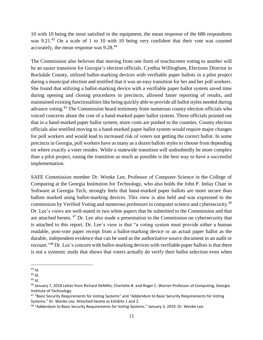10 with 10 being the most satisfied in the equipment, the mean response of the 686 respondents was 9.21.<sup>43</sup> On a scale of 1 to 10 with 10 being very confident that their vote was counted accurately, the mean response was 9.28.<sup>44</sup>

The Commission also believes that moving from one form of touchscreen voting to another will be an easier transition for Georgia's election officials. Cynthia Willingham, Elections Director in Rockdale County, utilized ballot-marking devices with verifiable paper ballots in a pilot project during a municipal election and testified that it was an easy transition for her and her poll workers. She found that utilizing a ballot-marking device with a verifiable paper ballot system saved time during opening and closing procedures in precincts, allowed faster reporting of results, and maintained existing functionalities like being quickly able to provide all ballot styles needed during advance voting.<sup>45</sup> The Commission heard testimony from numerous county election officials who voiced concerns about the cost of a hand-marked paper ballot system. These officials pointed out that in a hand-marked paper ballot system, more costs are pushed to the counties. County election officials also testified moving to a hand-marked paper ballot system would require major changes for poll workers and would lead to increased risk of voters not getting the correct ballot. In some precincts in Georgia, poll workers have as many as a dozen ballots styles to choose from depending on where exactly a voter resides. While a statewide transition will undoubtedly be more complex than a pilot project, easing the transition as much as possible is the best way to have a successful implementation.

SAFE Commission member Dr. Wenke Lee, Professor of Computer Science in the College of Computing at the Georgia Institution for Technology, who also holds the John P. Imlay Chair in Software at Georgia Tech, strongly feels that hand-marked paper ballots are more secure than ballots marked using ballot-marking devices. This view is also held and was expressed to the commission by Verified Voting and numerous professors in computer science and cybersecurity.<sup>46</sup> Dr. Lee's views are well-stated in two white papers that he submitted to the Commission and that are attached hereto. <sup>47</sup> Dr. Lee also made a presentation to the Commission on cybersecurity that is attached to this report. Dr. Lee's view is that "a voting system must provide either a human readable, post-vote paper receipt from a ballot-marking device or an actual paper ballot as the durable, independent evidence that can be used as the authoritative source document in an audit or recount."<sup>48</sup> Dr. Lee's concern with ballot-marking devices with verifiable paper ballots is that there is not a systemic study that shows that voters actually do verify their ballot selection even when

 $\overline{a}$ <sup>43</sup> Id.

 $44$  Id.

 $45$  Id.

<sup>46</sup> January 7, 2018 Letter from Richard DeMillo, Charlotte B. and Roger C. Warren Professor of Computing, Georgia Institute of Technology.

<sup>47 &</sup>quot;Basic Security Requirements for Voting Systems" and "Addendum to Basic Security Requirements for Voting Systems." Dr. Wenke Lee. Attached hereto as Exhibits 1 and 2.

<sup>48 &</sup>quot;Addendum to Basic Security Requirements for Voting Systems." January 3, 2019. Dr. Wenke Lee.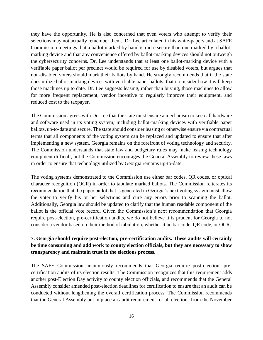they have the opportunity. He is also concerned that even voters who attempt to verify their selections may not actually remember them. Dr. Lee articulated in his white-papers and at SAFE Commission meetings that a ballot marked by hand is more secure than one marked by a ballotmarking device and that any convenience offered by ballot-marking devices should not outweigh the cybersecurity concerns. Dr. Lee understands that at least one ballot-marking device with a verifiable paper ballot per precinct would be required for use by disabled voters, but argues that non-disabled voters should mark their ballots by hand. He strongly recommends that if the state does utilize ballot-marking devices with verifiable paper ballots, that it consider how it will keep those machines up to date. Dr. Lee suggests leasing, rather than buying, those machines to allow for more frequent replacement, vendor incentive to regularly improve their equipment, and reduced cost to the taxpayer.

The Commission agrees with Dr. Lee that the state must ensure a mechanism to keep all hardware and software used in its voting system, including ballot-marking devices with verifiable paper ballots, up-to-date and secure. The state should consider leasing or otherwise ensure via contractual terms that all components of the voting system can be replaced and updated to ensure that after implementing a new system, Georgia remains on the forefront of voting technology and security. The Commission understands that state law and budgetary rules may make leasing technology equipment difficult, but the Commission encourages the General Assembly to review these laws in order to ensure that technology utilized by Georgia remains up-to-date.

The voting systems demonstrated to the Commission use either bar codes, QR codes, or optical character recognition (OCR) in order to tabulate marked ballots. The Commission reiterates its recommendation that the paper ballot that is generated in Georgia's next voting system must allow the voter to verify his or her selections and cure any errors prior to scanning the ballot. Additionally, Georgia law should be updated to clarify that the human readable component of the ballot is the official vote record. Given the Commission's next recommendation that Georgia require post-election, pre-certification audits, we do not believe it is prudent for Georgia to not consider a vendor based on their method of tabulation, whether it be bar code, QR code, or OCR.

## **7. Georgia should require post-election, pre-certification audits. These audits will certainly be time consuming and add work to county election officials, but they are necessary to show transparency and maintain trust in the elections process.**

The SAFE Commission unanimously recommends that Georgia require post-election, precertification audits of its election results. The Commission recognizes that this requirement adds another post-Election Day activity to county election officials, and recommends that the General Assembly consider amended post-election deadlines for certification to ensure that an audit can be conducted without lengthening the overall certification process. The Commission recommends that the General Assembly put in place an audit requirement for all elections from the November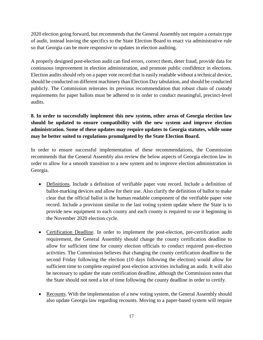2020 election going forward, but recommends that the General Assembly not require a certain type of audit, instead leaving the specifics to the State Election Board to enact via administrative rule so that Georgia can be more responsive to updates in election auditing.

A properly designed post-election audit can find errors, correct them, deter fraud, provide data for continuous improvement in election administration, and promote public confidence in elections. Election audits should rely on a paper vote record that is easily readable without a technical device, should be conducted on different machinery than Election Day tabulation, and should be conducted publicly. The Commission reiterates its previous recommendation that robust chain of custody requirements for paper ballots must be adhered to in order to conduct meaningful, precinct-level audits.

# **8. In order to successfully implement this new system, other areas of Georgia election law should be updated to ensure compatibility with the new system and improve election administration. Some of these updates may require updates to Georgia statutes, while some may be better suited to regulations promulgated by the State Election Board.**

In order to ensure successful implementation of these recommendations, the Commission recommends that the General Assembly also review the below aspects of Georgia election law in order to allow for a smooth transition to a new system and to improve election administration in Georgia.

- Definitions. Include a definition of verifiable paper vote record. Include a definition of ballot-marking devices and allow for their use. Also clarify the definition of ballot to make clear that the official ballot is the human readable component of the verifiable paper vote record. Include a provision similar to the last voting system update where the State is to provide new equipment to each county and each county is required to use it beginning in the November 2020 election cycle.
- Certification Deadline. In order to implement the post-election, pre-certification audit requirement, the General Assembly should change the county certification deadline to allow for sufficient time for county election officials to conduct required post-election activities. The Commission believes that changing the county certification deadline to the second Friday following the election (10 days following the election) would allow for sufficient time to complete required post-election activities including an audit. It will also be necessary to update the state certification deadline, although the Commission notes that the State should not need a lot of time following the county deadline in order to certify.
- Recounts. With the implementation of a new voting system, the General Assembly should also update Georgia law regarding recounts. Moving to a paper-based system will require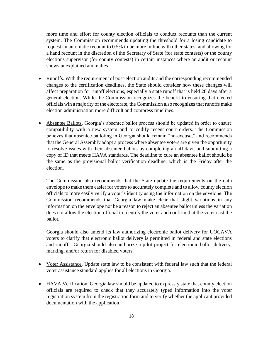more time and effort for county election officials to conduct recounts than the current system. The Commission recommends updating the threshold for a losing candidate to request an automatic recount to 0.5% to be more in line with other states, and allowing for a hand recount in the discretion of the Secretary of State (for state contests) or the county elections supervisor (for county contests) in certain instances where an audit or recount shows unexplained anomalies

- Runoffs. With the requirement of post-election audits and the corresponding recommended changes to the certification deadlines, the State should consider how these changes will affect preparation for runoff elections, especially a state runoff that is held 28 days after a general election. While the Commission recognizes the benefit to ensuring that elected officials win a majority of the electorate, the Commission also recognizes that runoffs make election administration more difficult and compress timelines.
- Absentee Ballots. Georgia's absentee ballot process should be updated in order to ensure compatibility with a new system and to codify recent court orders. The Commission believes that absentee balloting in Georgia should remain "no-excuse," and recommends that the General Assembly adopt a process where absentee voters are given the opportunity to resolve issues with their absentee ballots by completing an affidavit and submitting a copy of ID that meets HAVA standards. The deadline to cure an absentee ballot should be the same as the provisional ballot verification deadline, which is the Friday after the election.

The Commission also recommends that the State update the requirements on the oath envelope to make them easier for voters to accurately complete and to allow county election officials to more easily verify a voter's identity using the information on the envelope. The Commission recommends that Georgia law make clear that slight variations in any information on the envelope not be a reason to reject an absentee ballot unless the variation does not allow the election official to identify the voter and confirm that the voter cast the ballot.

Georgia should also amend its law authorizing electronic ballot delivery for UOCAVA voters to clarify that electronic ballot delivery is permitted in federal and state elections and runoffs. Georgia should also authorize a pilot project for electronic ballot delivery, marking, and/or return for disabled voters.

- Voter Assistance. Update state law to be consistent with federal law such that the federal voter assistance standard applies for all elections in Georgia.
- HAVA Verification. Georgia law should be updated to expressly state that county election officials are required to check that they accurately typed information into the voter registration system from the registration form and to verify whether the applicant provided documentation with the application.